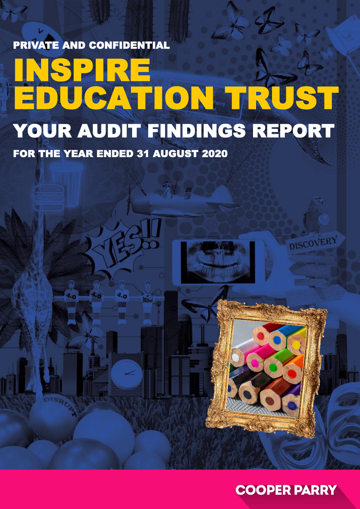PRIVATE AND CONFIDENTIAL

## SPIRE EDUCATION TRUST YOUR AUDIT FINDINGS REPORT

FOR THE YEAR ENDED 31 AUGUST 2020

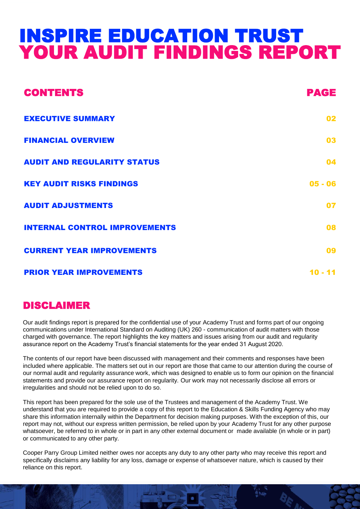### INSPIRE EDUCATION TRUST YOUR AUDIT FINDINGS REPORT

| <b>CONTENTS</b>                      | PAGE       |
|--------------------------------------|------------|
| <b>EXECUTIVE SUMMARY</b>             | 02         |
| <b>FINANCIAL OVERVIEW</b>            | 03         |
| <b>AUDIT AND REGULARITY STATUS</b>   | 04         |
| <b>KEY AUDIT RISKS FINDINGS</b>      | $05 - 06$  |
| <b>AUDIT ADJUSTMENTS</b>             | 07         |
| <b>INTERNAL CONTROL IMPROVEMENTS</b> | 08         |
| <b>CURRENT YEAR IMPROVEMENTS</b>     | 09         |
| <b>PRIOR YEAR IMPROVEMENTS</b>       | 11<br>10 - |

### DISCLAIMER

Our audit findings report is prepared for the confidential use of your Academy Trust and forms part of our ongoing communications under International Standard on Auditing (UK) 260 - communication of audit matters with those charged with governance. The report highlights the key matters and issues arising from our audit and regularity assurance report on the Academy Trust's financial statements for the year ended 31 August 2020.

The contents of our report have been discussed with management and their comments and responses have been included where applicable. The matters set out in our report are those that came to our attention during the course of our normal audit and regularity assurance work, which was designed to enable us to form our opinion on the financial statements and provide our assurance report on regularity. Our work may not necessarily disclose all errors or irregularities and should not be relied upon to do so.

This report has been prepared for the sole use of the Trustees and management of the Academy Trust. We understand that you are required to provide a copy of this report to the Education & Skills Funding Agency who may share this information internally within the Department for decision making purposes. With the exception of this, our report may not, without our express written permission, be relied upon by your Academy Trust for any other purpose whatsoever, be referred to in whole or in part in any other external document or made available (in whole or in part) or communicated to any other party.

Cooper Parry Group Limited neither owes nor accepts any duty to any other party who may receive this report and specifically disclaims any liability for any loss, damage or expense of whatsoever nature, which is caused by their reliance on this report.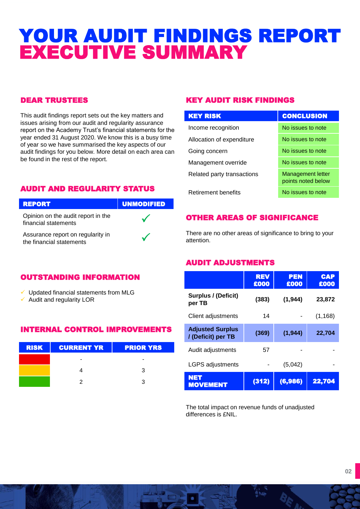### YOUR AUDIT FINDINGS REPORT EXECUTIVE SUMMARY

### DEAR TRUSTEES

This audit findings report sets out the key matters and issues arising from our audit and regularity assurance report on the Academy Trust's financial statements for the year ended 31 August 2020. We know this is a busy time of year so we have summarised the key aspects of our audit findings for you below. More detail on each area can be found in the rest of the report.

### AUDIT AND REGULARITY STATUS



### OUTSTANDING INFORMATION

- $\checkmark$  Updated financial statements from MLG
- $\checkmark$  Audit and regularity LOR

### INTERNAL CONTROL IMPROVEMENTS

| <b>RISK</b> | <b>CURRENT YR PRIOR YRS</b> |   |
|-------------|-----------------------------|---|
|             |                             |   |
|             |                             | ຈ |
|             |                             |   |

### KEY AUDIT RISK FINDINGS

| <b>KEY RISK</b>            | <b>CONCLUSION</b>                              |
|----------------------------|------------------------------------------------|
| Income recognition         | No issues to note                              |
| Allocation of expenditure  | No issues to note                              |
| Going concern              | No issues to note                              |
| Management override        | No issues to note                              |
| Related party transactions | <b>Management letter</b><br>points noted below |
| <b>Retirement benefits</b> | No issues to note                              |

### OTHER AREAS OF SIGNIFICANCE

There are no other areas of significance to bring to your attention.

### AUDIT ADJUSTMENTS

|                                              | <b>REV</b><br>£000 | <b>PEN</b><br>£000 | <b>CAP</b><br>£000 |
|----------------------------------------------|--------------------|--------------------|--------------------|
| Surplus / (Deficit)<br>per TB                | (383)              | (1, 944)           | 23,872             |
| Client adjustments                           | 14                 |                    | (1, 168)           |
| <b>Adjusted Surplus</b><br>/(Deficit) per TB | (369)              | (1, 944)           | 22,704             |
| Audit adjustments                            | 57                 |                    |                    |
| <b>LGPS adjustments</b>                      |                    | (5,042)            |                    |
| <b>NET</b><br><b>MOVEMENT</b>                | (312)              | (6,986)            | 22,704             |

The total impact on revenue funds of unadjusted differences is £NIL.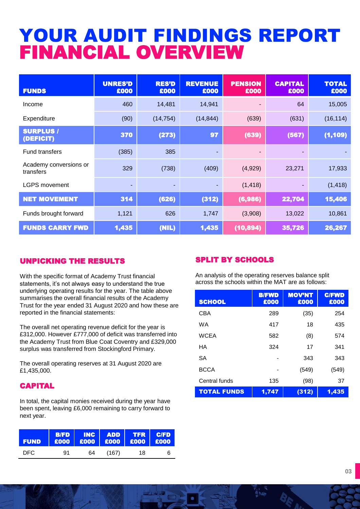### YOUR AUDIT FINDINGS REPORT FINANCIAL OVERVIEW

| <b>FUNDS</b>                        | <b>UNRES'D</b><br>£000 | <b>RES'D</b><br>£000 | <b>REVENUE</b><br>£000 | <b>PENSION</b><br>£000   | <b>CAPITAL</b><br>£000 | <b>TOTAL</b><br>£000 |
|-------------------------------------|------------------------|----------------------|------------------------|--------------------------|------------------------|----------------------|
| Income                              | 460                    | 14,481               | 14,941                 |                          | 64                     | 15,005               |
| Expenditure                         | (90)                   | (14, 754)            | (14, 844)              | (639)                    | (631)                  | (16, 114)            |
| <b>SURPLUS /</b><br>(DEFICIT)       | 370                    | (273)                | 97                     | (639)                    | (567)                  | (1, 109)             |
| <b>Fund transfers</b>               | (385)                  | 385                  |                        | $\overline{\phantom{0}}$ | ٠                      |                      |
| Academy conversions or<br>transfers | 329                    | (738)                | (409)                  | (4,929)                  | 23,271                 | 17,933               |
| <b>LGPS movement</b>                | ٠                      | ٠                    |                        | (1, 418)                 | ٠                      | (1, 418)             |
| <b>NET MOVEMENT</b>                 | 314                    | (626)                | (312)                  | (6,986)                  | 22,704                 | 15,406               |
| Funds brought forward               | 1,121                  | 626                  | 1,747                  | (3,908)                  | 13,022                 | 10,861               |
| <b>FUNDS CARRY FWD</b>              | 1,435                  | (NIL)                | 1,435                  | (10, 894)                | 35,726                 | 26,267               |

### UNPICKING THE RESULTS

With the specific format of Academy Trust financial statements, it's not always easy to understand the true underlying operating results for the year. The table above summarises the overall financial results of the Academy Trust for the year ended 31 August 2020 and how these are reported in the financial statements:

The overall net operating revenue deficit for the year is £312,000. However £777,000 of deficit was transferred into the Academy Trust from Blue Coat Coventry and £329,000 surplus was transferred from Stockingford Primary.

The overall operating reserves at 31 August 2020 are £1,435,000.

### CAPITAL

In total, the capital monies received during the year have been spent, leaving £6,000 remaining to carry forward to next year.

| <b>FUND</b> |    |    | B/FD INC ADD TFR<br>E000 E000 E000 E000 | <b>TFR</b> | <b>C/FD</b><br>$\overline{\phantom{0}}$ $\overline{\phantom{0}}$ $\overline{\phantom{0}}$ $\overline{\phantom{0}}$ $\overline{\phantom{0}}$ $\overline{\phantom{0}}$ $\overline{\phantom{0}}$ $\overline{\phantom{0}}$ $\overline{\phantom{0}}$ $\overline{\phantom{0}}$ $\overline{\phantom{0}}$ $\overline{\phantom{0}}$ $\overline{\phantom{0}}$ $\overline{\phantom{0}}$ $\overline{\phantom{0}}$ $\overline{\phantom{0}}$ $\overline{\phantom{0}}$ $\overline{\phantom{0}}$ $\overline{\$ |
|-------------|----|----|-----------------------------------------|------------|------------------------------------------------------------------------------------------------------------------------------------------------------------------------------------------------------------------------------------------------------------------------------------------------------------------------------------------------------------------------------------------------------------------------------------------------------------------------------------------------|
| DFC.        | 91 | 64 | (167)                                   | 18         | 6                                                                                                                                                                                                                                                                                                                                                                                                                                                                                              |

### SPLIT BY SCHOOLS

An analysis of the operating reserves balance split across the schools within the MAT are as follows:

| <b>SCHOOL</b>      | <b>B/FWD</b><br>£000 | <b>MOV'NT</b><br>£000 | <b>C/FWD</b><br>£000 |
|--------------------|----------------------|-----------------------|----------------------|
| CBA                | 289                  | (35)                  | 254                  |
| WA                 | 417                  | 18                    | 435                  |
| <b>WCEA</b>        | 582                  | (8)                   | 574                  |
| HA                 | 324                  | 17                    | 341                  |
| SA                 |                      | 343                   | 343                  |
| <b>BCCA</b>        |                      | (549)                 | (549)                |
| Central funds      | 135                  | (98)                  | 37                   |
| <b>TOTAL FUNDS</b> | 1,747                | (312)                 | 1,435                |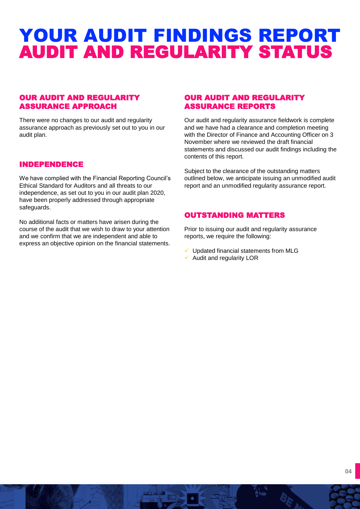### YOUR AUDIT FINDINGS REPORT AUDIT AND REGULARITY STATUS

### OUR AUDIT AND REGULARITY ASSURANCE APPROACH

There were no changes to our audit and regularity assurance approach as previously set out to you in our audit plan.

#### INDEPENDENCE

We have complied with the Financial Reporting Council's Ethical Standard for Auditors and all threats to our independence, as set out to you in our audit plan 2020, have been properly addressed through appropriate safeguards.

No additional facts or matters have arisen during the course of the audit that we wish to draw to your attention and we confirm that we are independent and able to express an objective opinion on the financial statements.

### OUR AUDIT AND REGULARITY ASSURANCE REPORTS

Our audit and regularity assurance fieldwork is complete and we have had a clearance and completion meeting with the Director of Finance and Accounting Officer on 3 November where we reviewed the draft financial statements and discussed our audit findings including the contents of this report.

Subject to the clearance of the outstanding matters outlined below, we anticipate issuing an unmodified audit report and an unmodified regularity assurance report.

### OUTSTANDING MATTERS

Prior to issuing our audit and regularity assurance reports, we require the following:

- ✓ Updated financial statements from MLG
- $\checkmark$  Audit and regularity LOR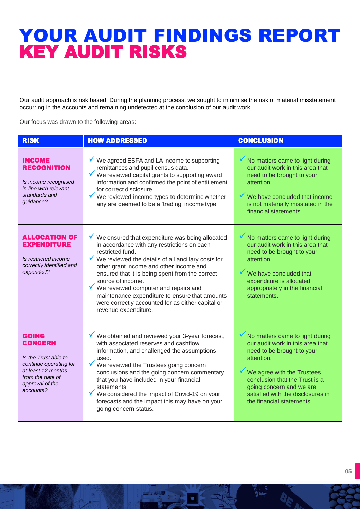### YOUR AUDIT FINDINGS REPORT KEY AUDIT RISKS

Our audit approach is risk based. During the planning process, we sought to minimise the risk of material misstatement occurring in the accounts and remaining undetected at the conclusion of our audit work.

Our focus was drawn to the following areas:

| <b>RISK</b>                                                                                                                                         | <b>HOW ADDRESSED</b>                                                                                                                                                                                                                                                                                                                                                                                                                                                            | <b>CONCLUSION</b>                                                                                                                                                                                                                                                             |
|-----------------------------------------------------------------------------------------------------------------------------------------------------|---------------------------------------------------------------------------------------------------------------------------------------------------------------------------------------------------------------------------------------------------------------------------------------------------------------------------------------------------------------------------------------------------------------------------------------------------------------------------------|-------------------------------------------------------------------------------------------------------------------------------------------------------------------------------------------------------------------------------------------------------------------------------|
| <b>INCOME</b><br><b>RECOGNITION</b><br>Is income recognised<br>in line with relevant<br>standards and<br>guidance?                                  | We agreed ESFA and LA income to supporting<br>remittances and pupil census data.<br>✔<br>We reviewed capital grants to supporting award<br>information and confirmed the point of entitlement<br>for correct disclosure.<br>We reviewed income types to determine whether<br>any are deemed to be a 'trading' income type.                                                                                                                                                      | No matters came to light during<br>our audit work in this area that<br>need to be brought to your<br>attention.<br>We have concluded that income<br>is not materially misstated in the<br>financial statements.                                                               |
| ALLOCATION OF<br><b>EXPENDITURE</b><br>Is restricted income<br>correctly identified and<br>expended?                                                | $\checkmark$ We ensured that expenditure was being allocated<br>in accordance with any restrictions on each<br>restricted fund.<br>We reviewed the details of all ancillary costs for<br>other grant income and other income and<br>ensured that it is being spent from the correct<br>source of income.<br>We reviewed computer and repairs and<br>maintenance expenditure to ensure that amounts<br>were correctly accounted for as either capital or<br>revenue expenditure. | No matters came to light during<br>our audit work in this area that<br>need to be brought to your<br>attention.<br>We have concluded that<br>expenditure is allocated<br>appropriately in the financial<br>statements.                                                        |
| GOING<br><b>CONCERN</b><br>Is the Trust able to<br>continue operating for<br>at least 12 months<br>from the date of<br>approval of the<br>accounts? | ▼ We obtained and reviewed your 3-year forecast,<br>with associated reserves and cashflow<br>information, and challenged the assumptions<br>used.<br>We reviewed the Trustees going concern<br>conclusions and the going concern commentary<br>that you have included in your financial<br>statements.<br>We considered the impact of Covid-19 on your<br>forecasts and the impact this may have on your<br>going concern status.                                               | No matters came to light during<br>our audit work in this area that<br>need to be brought to your<br>attention.<br>We agree with the Trustees<br>conclusion that the Trust is a<br>going concern and we are<br>satisfied with the disclosures in<br>the financial statements. |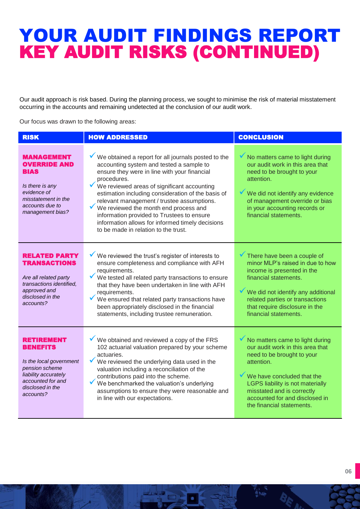### YOUR AUDIT FINDINGS REPORT KEY AUDIT RISKS (CONTINUED)

Our audit approach is risk based. During the planning process, we sought to minimise the risk of material misstatement occurring in the accounts and remaining undetected at the conclusion of our audit work.

Our focus was drawn to the following areas:

| <b>RISK</b>                                                                                                                                              | <b>HOW ADDRESSED</b>                                                                                                                                                                                                                                                                                                                                                                                                                                                                                 | <b>CONCLUSION</b>                                                                                                                                                                                                                                                              |
|----------------------------------------------------------------------------------------------------------------------------------------------------------|------------------------------------------------------------------------------------------------------------------------------------------------------------------------------------------------------------------------------------------------------------------------------------------------------------------------------------------------------------------------------------------------------------------------------------------------------------------------------------------------------|--------------------------------------------------------------------------------------------------------------------------------------------------------------------------------------------------------------------------------------------------------------------------------|
| <b>MANAGEMENT</b><br><b>OVERRIDE AND</b><br><b>BIAS</b><br>Is there is any<br>evidence of<br>misstatement in the<br>accounts due to<br>management bias?  | We obtained a report for all journals posted to the<br>accounting system and tested a sample to<br>ensure they were in line with your financial<br>procedures.<br>We reviewed areas of significant accounting<br>estimation including consideration of the basis of<br>relevant management / trustee assumptions.<br>We reviewed the month end process and<br>information provided to Trustees to ensure<br>information allows for informed timely decisions<br>to be made in relation to the trust. | No matters came to light during<br>our audit work in this area that<br>need to be brought to your<br>attention.<br>We did not identify any evidence<br>of management override or bias<br>in your accounting records or<br>financial statements.                                |
| RELATED PARTY<br><b>TRANSACTIONS</b><br>Are all related party<br>transactions identified,<br>approved and<br>disclosed in the<br>accounts?               | We reviewed the trust's register of interests to<br>ensure completeness and compliance with AFH<br>requirements.<br>We tested all related party transactions to ensure<br>that they have been undertaken in line with AFH<br>requirements.<br>We ensured that related party transactions have<br>been appropriately disclosed in the financial<br>statements, including trustee remuneration.                                                                                                        | There have been a couple of<br>minor MLP's raised in due to how<br>income is presented in the<br>financial statements.<br>We did not identify any additional<br>related parties or transactions<br>that require disclosure in the<br>financial statements.                     |
| RETIREMENT<br><b>BENEFITS</b><br>Is the local government<br>pension scheme<br>liability accurately<br>accounted for and<br>disclosed in the<br>accounts? | $\checkmark$ We obtained and reviewed a copy of the FRS<br>102 actuarial valuation prepared by your scheme<br>actuaries.<br>We reviewed the underlying data used in the<br>valuation including a reconciliation of the<br>contributions paid into the scheme.<br>We benchmarked the valuation's underlying<br>assumptions to ensure they were reasonable and<br>in line with our expectations.                                                                                                       | No matters came to light during<br>our audit work in this area that<br>need to be brought to your<br>attention.<br>We have concluded that the<br>LGPS liability is not materially<br>misstated and is correctly<br>accounted for and disclosed in<br>the financial statements. |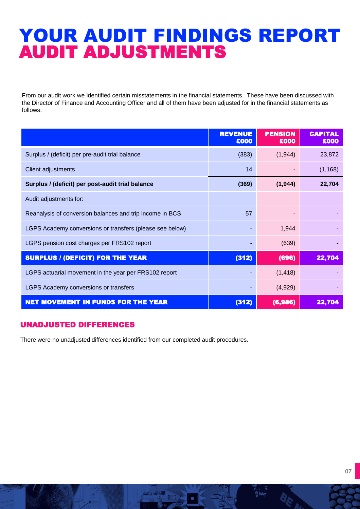### YOUR AUDIT FINDINGS REPORT AUDIT ADJUSTMENTS

From our audit work we identified certain misstatements in the financial statements. These have been discussed with the Director of Finance and Accounting Officer and all of them have been adjusted for in the financial statements as follows:

|                                                          | <b>REVENUE</b><br>£000 | <b>PENSION</b><br>£000 | <b>CAPITAL</b><br>£000 |
|----------------------------------------------------------|------------------------|------------------------|------------------------|
| Surplus / (deficit) per pre-audit trial balance          | (383)                  | (1,944)                | 23,872                 |
| Client adjustments                                       | 14                     |                        | (1, 168)               |
| Surplus / (deficit) per post-audit trial balance         | (369)                  | (1,944)                | 22,704                 |
| Audit adjustments for:                                   |                        |                        |                        |
| Reanalysis of conversion balances and trip income in BCS | 57                     |                        |                        |
| LGPS Academy conversions or transfers (please see below) |                        | 1,944                  |                        |
| LGPS pension cost charges per FRS102 report              |                        | (639)                  |                        |
| <b>SURPLUS / (DEFICIT) FOR THE YEAR</b>                  | (312)                  | (696)                  | 22,704                 |
| LGPS actuarial movement in the year per FRS102 report    |                        | (1, 418)               |                        |
| LGPS Academy conversions or transfers                    |                        | (4,929)                |                        |
| <b>NET MOVEMENT IN FUNDS FOR THE YEAR</b>                | (312)                  | (6,986)                | 22,704                 |

### UNADJUSTED DIFFERENCES

There were no unadjusted differences identified from our completed audit procedures.

**05**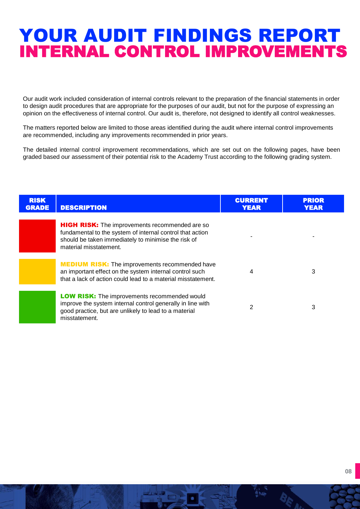### YOUR AUDIT FINDINGS REPORT INTERNAL CONTROL IMPROVEMENTS

Our audit work included consideration of internal controls relevant to the preparation of the financial statements in order to design audit procedures that are appropriate for the purposes of our audit, but not for the purpose of expressing an opinion on the effectiveness of internal control. Our audit is, therefore, not designed to identify all control weaknesses.

The matters reported below are limited to those areas identified during the audit where internal control improvements are recommended, including any improvements recommended in prior years.

The detailed internal control improvement recommendations, which are set out on the following pages, have been graded based our assessment of their potential risk to the Academy Trust according to the following grading system.

| <b>RISK</b><br><b>GRADE</b> | <b>DESCRIPTION</b>                                                                                                                                                                                  | <b>CURRENT</b><br>YEAR | <b>PRIOR</b><br>YEAR |
|-----------------------------|-----------------------------------------------------------------------------------------------------------------------------------------------------------------------------------------------------|------------------------|----------------------|
|                             | <b>HIGH RISK:</b> The improvements recommended are so<br>fundamental to the system of internal control that action<br>should be taken immediately to minimise the risk of<br>material misstatement. |                        |                      |
|                             | <b>MEDIUM RISK:</b> The improvements recommended have<br>an important effect on the system internal control such<br>that a lack of action could lead to a material misstatement.                    | 4                      | 3                    |
|                             | <b>LOW RISK:</b> The improvements recommended would<br>improve the system internal control generally in line with<br>good practice, but are unlikely to lead to a material<br>misstatement.         | 2                      | 3                    |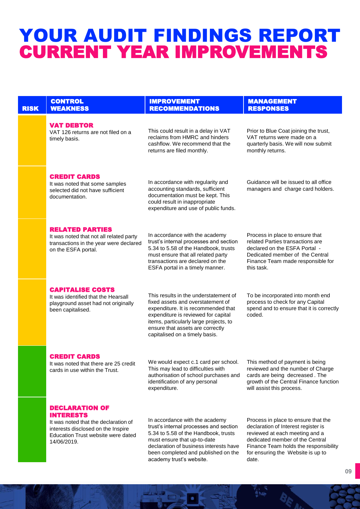### YOUR AUDIT FINDINGS REPORT CURRENT YEAR IMPROVEMENTS

| <b>RISK</b> | <b>CONTROL</b><br><b>WEAKNESS</b>                                                                                                                                            | <b>IMPROVEMENT</b><br><b>RECOMMENDATIONS</b>                                                                                                                                                                                                                             | <b>MANAGEMENT</b><br><b>RESPONSES</b>                                                                                                                                                                                                  |
|-------------|------------------------------------------------------------------------------------------------------------------------------------------------------------------------------|--------------------------------------------------------------------------------------------------------------------------------------------------------------------------------------------------------------------------------------------------------------------------|----------------------------------------------------------------------------------------------------------------------------------------------------------------------------------------------------------------------------------------|
|             | <b>VAT DEBTOR</b><br>VAT 126 returns are not filed on a<br>timely basis.                                                                                                     | This could result in a delay in VAT<br>reclaims from HMRC and hinders<br>cashflow. We recommend that the<br>returns are filed monthly.                                                                                                                                   | Prior to Blue Coat joining the trust,<br>VAT returns were made on a<br>quarterly basis. We will now submit<br>monthly returns.                                                                                                         |
|             | <b>CREDIT CARDS</b><br>It was noted that some samples<br>selected did not have sufficient<br>documentation.                                                                  | In accordance with regularity and<br>accounting standards, sufficient<br>documentation must be kept. This<br>could result in inappropriate<br>expenditure and use of public funds.                                                                                       | Guidance will be issued to all office<br>managers and charge card holders.                                                                                                                                                             |
|             | <b>RELATED PARTIES</b><br>It was noted that not all related party<br>transactions in the year were declared<br>on the ESFA portal.                                           | In accordance with the academy<br>trust's internal processes and section<br>5.34 to 5.58 of the Handbook, trusts<br>must ensure that all related party<br>transactions are declared on the<br>ESFA portal in a timely manner.                                            | Process in place to ensure that<br>related Parties transactions are<br>declared on the ESFA Portal -<br>Dedicated member of the Central<br>Finance Team made responsible for<br>this task.                                             |
|             | <b>CAPITALISE COSTS</b><br>It was identified that the Hearsall<br>playground asset had not originally<br>been capitalised.                                                   | This results in the understatement of<br>fixed assets and overstatement of<br>expenditure. It is recommended that<br>expenditure is reviewed for capital<br>items, particularly large projects, to<br>ensure that assets are correctly<br>capitalised on a timely basis. | To be incorporated into month end<br>process to check for any Capital<br>spend and to ensure that it is correctly<br>coded.                                                                                                            |
|             | <b>CREDIT CARDS</b><br>It was noted that there are 25 credit<br>cards in use within the Trust.                                                                               | We would expect c.1 card per school.<br>This may lead to difficulties with<br>authorisation of school purchases and<br>identification of any personal<br>expenditure.                                                                                                    | This method of payment is being<br>reviewed and the number of Charge<br>cards are being decreased. The<br>growth of the Central Finance function<br>will assist this process.                                                          |
|             | <b>DECLARATION OF</b><br><b>INTERESTS</b><br>It was noted that the declaration of<br>interests disclosed on the Inspire<br>Education Trust website were dated<br>14/06/2019. | In accordance with the academy<br>trust's internal processes and section<br>5.34 to 5.58 of the Handbook, trusts<br>must ensure that up-to-date<br>declaration of business interests have<br>been completed and published on the<br>academy trust's website.             | Process in place to ensure that the<br>declaration of Interest register is<br>reviewed at each meeting and a<br>dedicated member of the Central<br>Finance Team holds the responsibility<br>for ensuring the Website is up to<br>date. |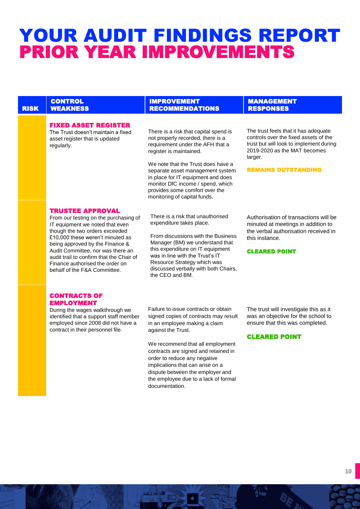### YOUR AUDIT FINDINGS REPORT PRIOR YEAR IMPROVEMENTS

|             | <b>CONTROL</b>                                                                                                                                                                                                                                                                                                                                                   | <b>IMPROVEMENT</b>                                                                                                                                                                                                                                                                                                                                                                 | <b>MANAGEMENT</b>                                                                                                                                                                                 |
|-------------|------------------------------------------------------------------------------------------------------------------------------------------------------------------------------------------------------------------------------------------------------------------------------------------------------------------------------------------------------------------|------------------------------------------------------------------------------------------------------------------------------------------------------------------------------------------------------------------------------------------------------------------------------------------------------------------------------------------------------------------------------------|---------------------------------------------------------------------------------------------------------------------------------------------------------------------------------------------------|
| <b>RISK</b> | <b>WEAKNESS</b>                                                                                                                                                                                                                                                                                                                                                  | <b>RECOMMENDATIONS</b>                                                                                                                                                                                                                                                                                                                                                             | <b>RESPONSES</b>                                                                                                                                                                                  |
|             | <b>FIXED ASSET REGISTER</b><br>The Trust doesn't maintain a fixed<br>asset register that is updated<br>regularly.                                                                                                                                                                                                                                                | There is a risk that capital spend is<br>not properly recorded, there is a<br>requirement under the AFH that a<br>register is maintained.<br>We note that the Trust does have a<br>separate asset management system<br>in place for IT equipment and does<br>monitor DfC income / spend, which<br>provides some comfort over the<br>monitoring of capital funds.                   | The trust feels that it has adequate<br>controls over the fixed assets of the<br>trust but will look to implement during<br>2019-2020 as the MAT becomes<br>larger.<br><b>REMAINS OUTSTANDING</b> |
|             | <b>TRUSTEE APPROVAL</b><br>From our testing on the purchasing of<br>IT equipment we noted that even<br>though the two orders exceeded<br>£10,000 these weren't minuted as<br>being approved by the Finance &<br>Audit Committee, nor was there an<br>audit trail to confirm that the Chair of<br>Finance authorised the order on<br>behalf of the F&A Committee. | There is a risk that unauthorised<br>expenditure takes place.<br>From discussions with the Business<br>Manager (BM) we understand that<br>this expenditure on IT equipment<br>was in line with the Trust's IT<br>Resource Strategy which was<br>discussed verbally with both Chairs,<br>the CEO and BM.                                                                            | Authorisation of transactions will be<br>minuted at meetings in addition to<br>the verbal authorisation received in<br>this instance.<br><b>CLEARED POINT</b>                                     |
|             | <b>CONTRACTS OF</b><br><b>EMPLOYMENT</b><br>During the wages walkthrough we<br>identified that a support staff member<br>employed since 2008 did not have a<br>contract in their personnel file.                                                                                                                                                                 | Failure to issue contracts or obtain<br>signed copies of contracts may result<br>in an employee making a claim<br>against the Trust.<br>We recommend that all employment<br>contracts are signed and retained in<br>order to reduce any negative<br>implications that can arise on a<br>dispute between the employer and<br>the employee due to a lack of formal<br>documentation. | The trust will investigate this as it<br>was an objective for the school to<br>ensure that this was completed.<br><b>CLEARED POINT</b>                                                            |
|             |                                                                                                                                                                                                                                                                                                                                                                  |                                                                                                                                                                                                                                                                                                                                                                                    |                                                                                                                                                                                                   |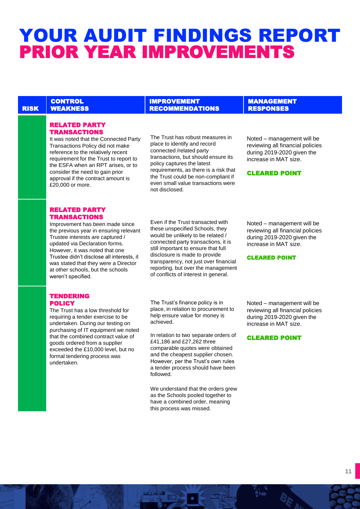### YOUR AUDIT FINDINGS REPORT PRIOR YEAR IMPROVEMENTS

#### RISK **CONTROL WEAKNESS**

IMPROVEMENT RECOMMENDATIONS

policy captures the latest

not disclosed.

The Trust has robust measures in place to identify and record connected /related party

transactions, but should ensure its

requirements, as there is a risk that the Trust could be non-compliant if even small value transactions were

MANAGEMENT RESPONSES

CLEARED POINT

Noted – management will be reviewing all financial policies during 2019-2020 given the increase in MAT size.

#### RELATED PARTY **TRANSACTIONS**

It was noted that the Connected Party Transactions Policy did not make reference to the relatively recent requirement for the Trust to report to the ESFA when an RPT arises, or to consider the need to gain prior approval if the contract amount is £20,000 or more.

#### RELATED PARTY TRANSACTIONS

TENDERING **POLICY** 

Improvement has been made since the previous year in ensuring relevant Trustee interests are captured / updated via Declaration forms. However, it was noted that one Trustee didn't disclose all interests, it was stated that they were a Director at other schools, but the schools weren't specified.

#### Even if the Trust transacted with these unspecified Schools, they would be unlikely to be related / connected party transactions, it is still important to ensure that full disclosure is made to provide transparency, not just over financial reporting, but over the management of conflicts of interest in general.

Noted – management will be reviewing all financial policies during 2019-2020 given the increase in MAT size.

#### CLEARED POINT

The Trust has a low threshold for

requiring a tender exercise to be undertaken. During our testing on purchasing of IT equipment we noted that the combined contract value of goods ordered from a supplier exceeded the £10,000 level, but no formal tendering process was undertaken.

The Trust's finance policy is in place, in relation to procurement to help ensure value for money is achieved.

In relation to two separate orders of £41,186 and £27,262 three comparable quotes were obtained and the cheapest supplier chosen. However, per the Trust's own rules a tender process should have been followed.

We understand that the orders grew as the Schools pooled together to have a combined order, meaning this process was missed.

Noted – management will be reviewing all financial policies during 2019-2020 given the increase in MAT size.

CLEARED POINT

#### **11**